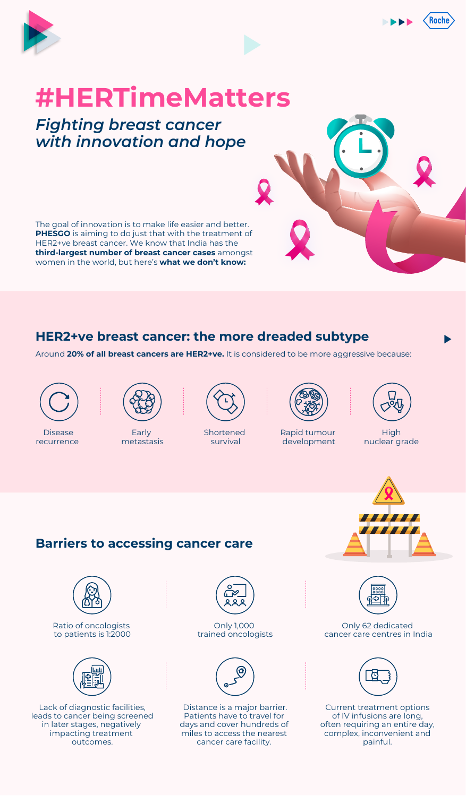



# **#HERTimeMatters**

## *Fighting breast cancer with innovation and hope*

The goal of innovation is to make life easier and better. **PHESGO** is aiming to do just that with the treatment of HER2+ve breast cancer. We know that India has the **third-largest number of breast cancer cases** amongst women in the world, but here's **what we don't know:**

### **HER2+ve breast cancer: the more dreaded subtype**

Around **20% of all breast cancers are HER2+ve.** It is considered to be more aggressive because:



Disease recurrence



Early metastasis



Shortened survival



Rapid tumour development



**High** nuclear grade



#### **Barriers to accessing cancer care**



Ratio of oncologists to patients is 1:2000



Lack of diagnostic facilities, leads to cancer being screened in later stages, negatively impacting treatment outcomes.



Only 1,000 trained oncologists



Distance is a major barrier. Patients have to travel for days and cover hundreds of miles to access the nearest cancer care facility.



Only 62 dedicated cancer care centres in India



Current treatment options of IV infusions are long, often requiring an entire day, complex, inconvenient and painful.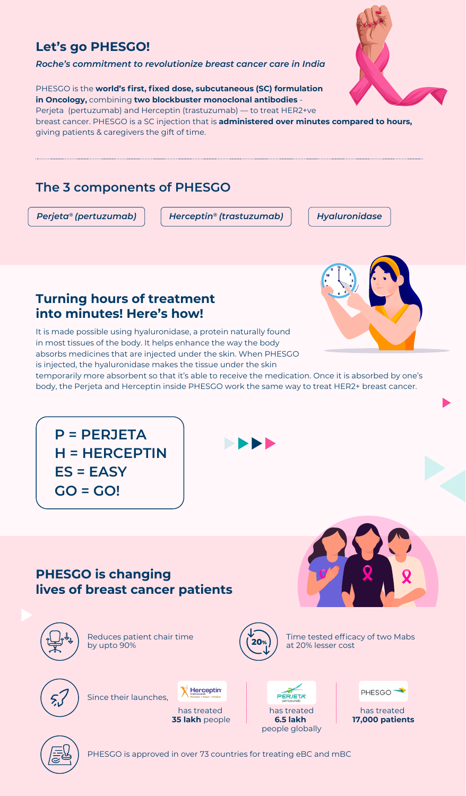### **Let's go PHESGO!**

*Roche's commitment to revolutionize breast cancer care in India* 

PHESGO is the **world's first, fixed dose, subcutaneous (SC) formulation in Oncology,** combining **two blockbuster monoclonal antibodies** - Perjeta (pertuzumab) and Herceptin (trastuzumab) — to treat HER2+ve

breast cancer. PHESGO is a SC injection that is **administered over minutes compared to hours,**  giving patients & caregivers the gift of time.

### **The 3 components of PHESGO**

**GO = GO!**

*Perjeta® (pertuzumab) Herceptin® (trastuzumab) Hyaluronidase*

### **Turning hours of treatment into minutes! Here's how!**

It is made possible using hyaluronidase, a protein naturally found in most tissues of the body. It helps enhance the way the body absorbs medicines that are injected under the skin. When PHESGO is injected, the hyaluronidase makes the tissue under the skin

temporarily more absorbent so that it's able to receive the medication. Once it is absorbed by one's body, the Perjeta and Herceptin inside PHESGO work the same way to treat HER2+ breast cancer.

**P = PERJETA H = HERCEPTIN ES = EASY**

### **PHESGO is changing lives of breast cancer patients**



Reduces patient chair time by upto 90%



Time tested efficacy of two Mabs at 20% lesser cost



Since their launches,



Herceptin<sup>®</sup>

PERJETA<sup>®</sup> has treated **6.5 lakh**  people globally



has treated **17,000 patients**



PHESGO is approved in over 73 countries for treating eBC and mBC



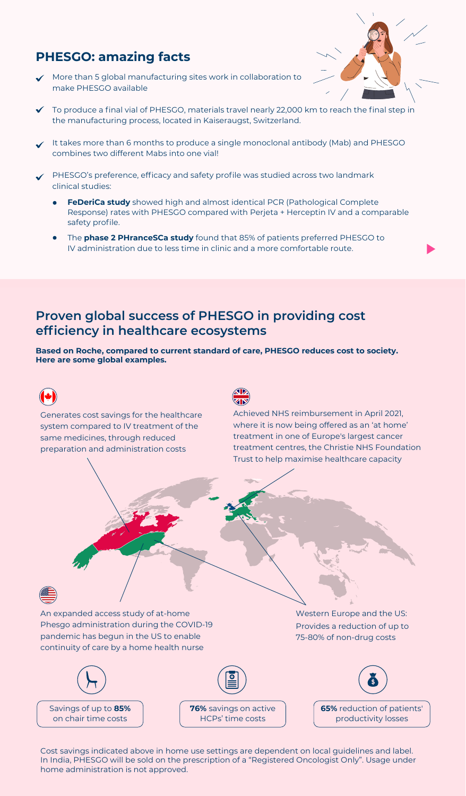### **PHESGO: amazing facts**

More than 5 global manufacturing sites work in collaboration to make PHESGO available



- To produce a final vial of PHESGO, materials travel nearly 22,000 km to reach the final step in the manufacturing process, located in Kaiseraugst, Switzerland.
- It takes more than 6 months to produce a single monoclonal antibody (Mab) and PHESGO combines two different Mabs into one vial!
- PHESGO's preference, efficacy and safety profile was studied across two landmark clinical studies:
	- **FeDeriCa study** showed high and almost identical PCR (Pathological Complete Response) rates with PHESGO compared with Perjeta + Herceptin IV and a comparable safety profile.
	- The **phase 2 PHranceSCa study** found that 85% of patients preferred PHESGO to IV administration due to less time in clinic and a more comfortable route.

### **Proven global success of PHESGO in providing cost efficiency in healthcare ecosystems**

**Based on Roche, compared to current standard of care, PHESGO reduces cost to society. Here are some global examples.** 



Cost savings indicated above in home use settings are dependent on local guidelines and label. In India, PHESGO will be sold on the prescription of a "Registered Oncologist Only". Usage under home administration is not approved.